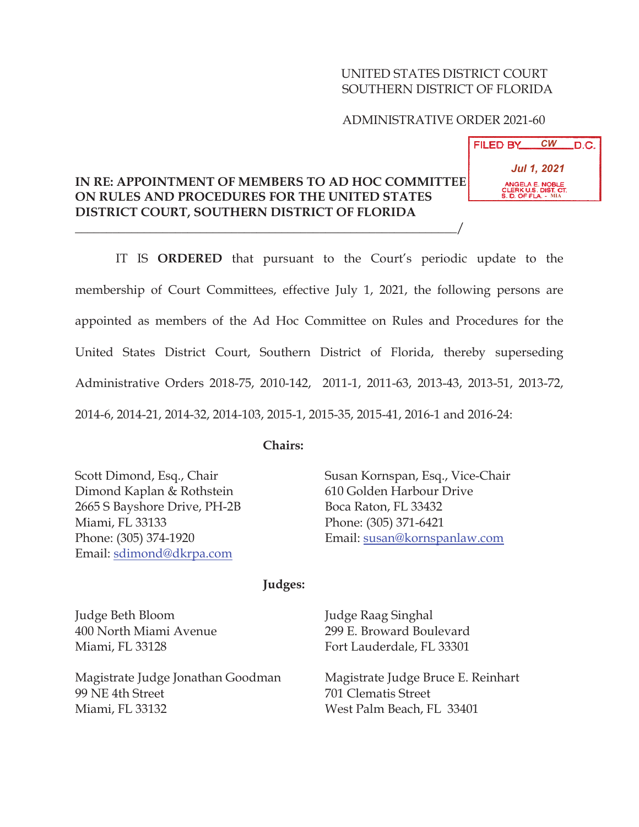### UNITED STATES DISTRICT COURT SOUTHERN DISTRICT OF FLORIDA

### ADMINISTRATIVE ORDER 2021-60

## **IN RE: APPOINTMENT OF MEMBERS TO AD HOC COMMITTEE ON RULES AND PROCEDURES FOR THE UNITED STATES DISTRICT COURT, SOUTHERN DISTRICT OF FLORIDA**

 $\overline{\phantom{a}}$ 

 IT IS **ORDERED** that pursuant to the Court's periodic update to the membership of Court Committees, effective July 1, 2021, the following persons are appointed as members of the Ad Hoc Committee on Rules and Procedures for the United States District Court, Southern District of Florida, thereby superseding Administrative Orders 2018-75, 2010-142, 2011-1, 2011-63, 2013-43, 2013-51, 2013-72, 2014-6, 2014-21, 2014-32, 2014-103, 2015-1, 2015-35, 2015-41, 2016-1 and 2016-24:

### **Chairs:**

Scott Dimond, Esq., Chair Dimond Kaplan & Rothstein 2665 S Bayshore Drive, PH-2B Miami, FL 33133 Phone: (305) 374-1920 Email: sdimond@dkrpa.com

Susan Kornspan, Esq., Vice-Chair 610 Golden Harbour Drive Boca Raton, FL 33432 Phone: (305) 371-6421 Email: susan@kornspanlaw.com

#### **Judges:**

Judge Beth Bloom 400 North Miami Avenue Miami, FL 33128

Magistrate Judge Jonathan Goodman 99 NE 4th Street Miami, FL 33132

Judge Raag Singhal 299 E. Broward Boulevard Fort Lauderdale, FL 33301

Magistrate Judge Bruce E. Reinhart 701 Clematis Street West Palm Beach, FL 33401

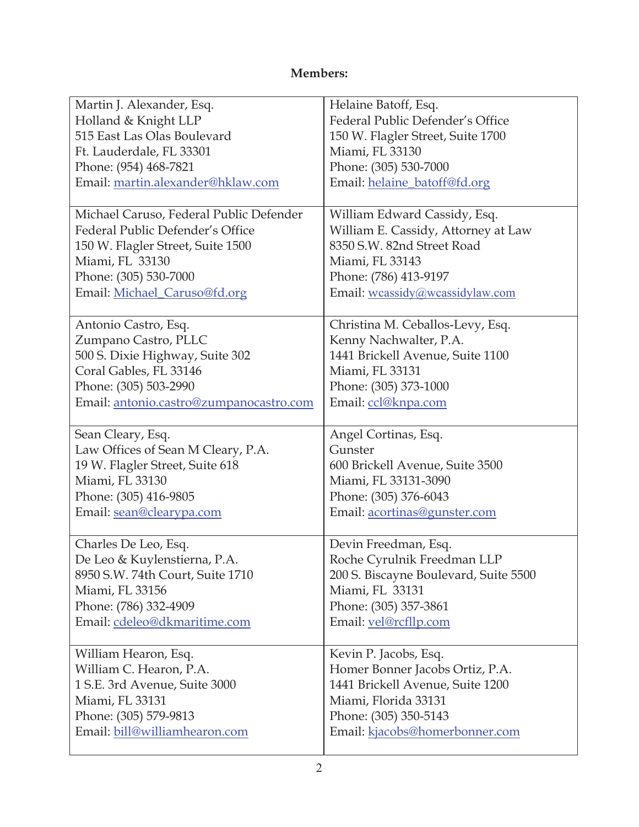# **Members:**

| Martin J. Alexander, Esq.               | Helaine Batoff, Esq.                  |
|-----------------------------------------|---------------------------------------|
| Holland & Knight LLP                    | Federal Public Defender's Office      |
| 515 East Las Olas Boulevard             | 150 W. Flagler Street, Suite 1700     |
| Ft. Lauderdale, FL 33301                | Miami, FL 33130                       |
| Phone: (954) 468-7821                   | Phone: (305) 530-7000                 |
| Email: martin.alexander@hklaw.com       | Email: helaine_batoff@fd.org          |
|                                         |                                       |
| Michael Caruso, Federal Public Defender | William Edward Cassidy, Esq.          |
| Federal Public Defender's Office        | William E. Cassidy, Attorney at Law   |
| 150 W. Flagler Street, Suite 1500       | 8350 S.W. 82nd Street Road            |
| Miami, FL 33130                         | Miami, FL 33143                       |
| Phone: (305) 530-7000                   | Phone: (786) 413-9197                 |
| Email: Michael_Caruso@fd.org            | Email: wcassidy@wcassidylaw.com       |
|                                         |                                       |
| Antonio Castro, Esq.                    | Christina M. Ceballos-Levy, Esq.      |
| Zumpano Castro, PLLC                    | Kenny Nachwalter, P.A.                |
| 500 S. Dixie Highway, Suite 302         | 1441 Brickell Avenue, Suite 1100      |
| Coral Gables, FL 33146                  | Miami, FL 33131                       |
| Phone: (305) 503-2990                   | Phone: (305) 373-1000                 |
| Email: antonio.castro@zumpanocastro.com | Email: ccl@knpa.com                   |
|                                         |                                       |
| Sean Cleary, Esq.                       | Angel Cortinas, Esq.                  |
| Law Offices of Sean M Cleary, P.A.      | Gunster                               |
|                                         |                                       |
| 19 W. Flagler Street, Suite 618         | 600 Brickell Avenue, Suite 3500       |
| Miami, FL 33130                         | Miami, FL 33131-3090                  |
|                                         |                                       |
| Phone: (305) 416-9805                   | Phone: (305) 376-6043                 |
| Email: sean@clearypa.com                | Email: acortinas@gunster.com          |
| Charles De Leo, Esq.                    | Devin Freedman, Esq.                  |
| De Leo & Kuylenstierna, P.A.            | Roche Cyrulnik Freedman LLP           |
| 8950 S.W. 74th Court, Suite 1710        | 200 S. Biscayne Boulevard, Suite 5500 |
| Miami, FL 33156                         | Miami, FL 33131                       |
| Phone: (786) 332-4909                   | Phone: (305) 357-3861                 |
|                                         |                                       |
| Email: cdeleo@dkmaritime.com            | Email: vel@rcfllp.com                 |
| William Hearon, Esq.                    | Kevin P. Jacobs, Esq.                 |
| William C. Hearon, P.A.                 | Homer Bonner Jacobs Ortiz, P.A.       |
| 1 S.E. 3rd Avenue, Suite 3000           | 1441 Brickell Avenue, Suite 1200      |
| Miami, FL 33131                         | Miami, Florida 33131                  |
| Phone: (305) 579-9813                   | Phone: (305) 350-5143                 |
| Email: bill@williamhearon.com           | Email: kjacobs@homerbonner.com        |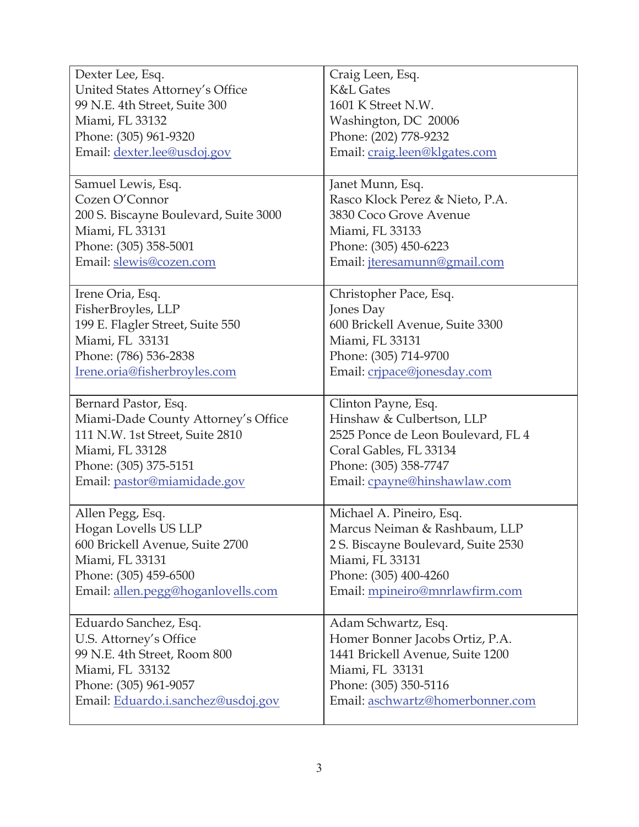| Dexter Lee, Esq.                                            | Craig Leen, Esq.                                          |
|-------------------------------------------------------------|-----------------------------------------------------------|
| United States Attorney's Office                             | <b>K&amp;L Gates</b>                                      |
| 99 N.E. 4th Street, Suite 300                               | 1601 K Street N.W.                                        |
| Miami, FL 33132                                             | Washington, DC 20006                                      |
| Phone: (305) 961-9320                                       | Phone: (202) 778-9232                                     |
| Email: dexter.lee@usdoj.gov                                 | Email: craig.leen@klgates.com                             |
|                                                             |                                                           |
| Samuel Lewis, Esq.                                          | Janet Munn, Esq.                                          |
| Cozen O'Connor                                              | Rasco Klock Perez & Nieto, P.A.                           |
| 200 S. Biscayne Boulevard, Suite 3000                       | 3830 Coco Grove Avenue                                    |
| Miami, FL 33131                                             | Miami, FL 33133                                           |
| Phone: (305) 358-5001                                       | Phone: (305) 450-6223                                     |
| Email: slewis@cozen.com                                     | Email: <i>jteresamunn@gmail.com</i>                       |
|                                                             |                                                           |
| Irene Oria, Esq.                                            | Christopher Pace, Esq.                                    |
| FisherBroyles, LLP                                          | Jones Day                                                 |
| 199 E. Flagler Street, Suite 550                            | 600 Brickell Avenue, Suite 3300                           |
| Miami, FL 33131                                             | Miami, FL 33131                                           |
| Phone: (786) 536-2838                                       | Phone: (305) 714-9700                                     |
| Irene.oria@fisherbroyles.com                                | Email: cripace@jonesday.com                               |
|                                                             |                                                           |
| Bernard Pastor, Esq.                                        | Clinton Payne, Esq.                                       |
| Miami-Dade County Attorney's Office                         | Hinshaw & Culbertson, LLP                                 |
| 111 N.W. 1st Street, Suite 2810                             | 2525 Ponce de Leon Boulevard, FL 4                        |
|                                                             | Coral Gables, FL 33134                                    |
| Miami, FL 33128                                             |                                                           |
| Phone: (305) 375-5151                                       |                                                           |
|                                                             | Phone: (305) 358-7747                                     |
| Email: pastor@miamidade.gov                                 | Email: cpayne@hinshawlaw.com                              |
| Allen Pegg, Esq.                                            | Michael A. Pineiro, Esq.                                  |
| Hogan Lovells US LLP                                        | Marcus Neiman & Rashbaum, LLP                             |
| 600 Brickell Avenue, Suite 2700                             | 2 S. Biscayne Boulevard, Suite 2530                       |
| Miami, FL 33131                                             | Miami, FL 33131                                           |
| Phone: (305) 459-6500                                       | Phone: (305) 400-4260                                     |
|                                                             |                                                           |
| Email: allen.pegg@hoganlovells.com                          | Email: mpineiro@mnrlawfirm.com                            |
| Eduardo Sanchez, Esq.                                       | Adam Schwartz, Esq.                                       |
| U.S. Attorney's Office                                      | Homer Bonner Jacobs Ortiz, P.A.                           |
| 99 N.E. 4th Street, Room 800                                | 1441 Brickell Avenue, Suite 1200                          |
| Miami, FL 33132                                             | Miami, FL 33131                                           |
|                                                             |                                                           |
| Phone: (305) 961-9057<br>Email: Eduardo.i.sanchez@usdoj.gov | Phone: (305) 350-5116<br>Email: aschwartz@homerbonner.com |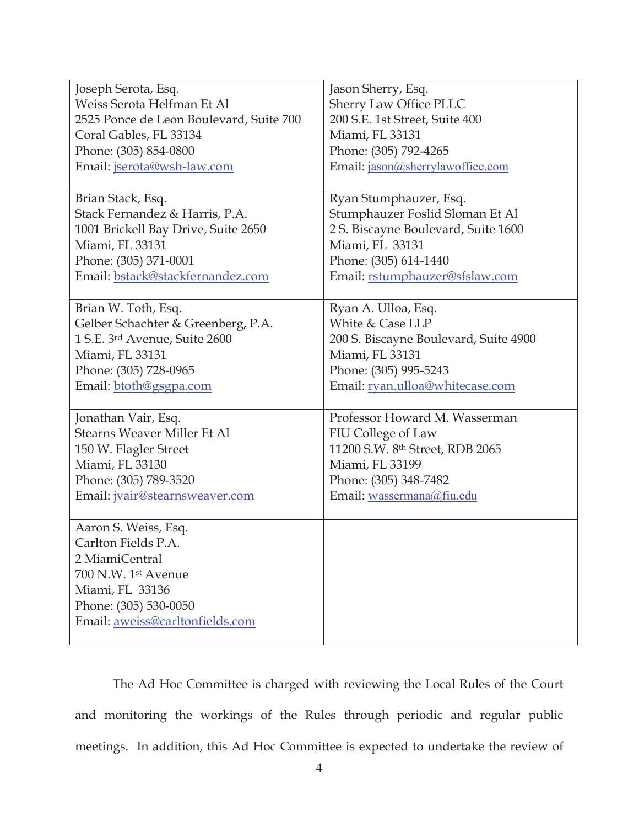| Joseph Serota, Esq.                     | Jason Sherry, Esq.                    |
|-----------------------------------------|---------------------------------------|
| Weiss Serota Helfman Et Al              | Sherry Law Office PLLC                |
| 2525 Ponce de Leon Boulevard, Suite 700 | 200 S.E. 1st Street, Suite 400        |
| Coral Gables, FL 33134                  | Miami, FL 33131                       |
| Phone: (305) 854-0800                   | Phone: (305) 792-4265                 |
| Email: jserota@wsh-law.com              | Email: jason@sherrylawoffice.com      |
|                                         |                                       |
| Brian Stack, Esq.                       | Ryan Stumphauzer, Esq.                |
| Stack Fernandez & Harris, P.A.          | Stumphauzer Foslid Sloman Et Al       |
| 1001 Brickell Bay Drive, Suite 2650     | 2 S. Biscayne Boulevard, Suite 1600   |
| Miami, FL 33131                         | Miami, FL 33131                       |
| Phone: (305) 371-0001                   | Phone: (305) 614-1440                 |
| Email: bstack@stackfernandez.com        | Email: rstumphauzer@sfslaw.com        |
|                                         |                                       |
| Brian W. Toth, Esq.                     | Ryan A. Ulloa, Esq.                   |
| Gelber Schachter & Greenberg, P.A.      | White & Case LLP                      |
| 1 S.E. 3rd Avenue, Suite 2600           | 200 S. Biscayne Boulevard, Suite 4900 |
| Miami, FL 33131                         | Miami, FL 33131                       |
| Phone: (305) 728-0965                   | Phone: (305) 995-5243                 |
| Email: btoth@gsgpa.com                  | Email: ryan.ulloa@whitecase.com       |
|                                         |                                       |
| Jonathan Vair, Esq.                     | Professor Howard M. Wasserman         |
| Stearns Weaver Miller Et Al             | FIU College of Law                    |
| 150 W. Flagler Street                   | 11200 S.W. 8th Street, RDB 2065       |
| Miami, FL 33130                         | Miami, FL 33199                       |
| Phone: (305) 789-3520                   | Phone: (305) 348-7482                 |
| Email: jvair@stearnsweaver.com          | Email: wassermana@fiu.edu             |
|                                         |                                       |
| Aaron S. Weiss, Esq.                    |                                       |
| Carlton Fields P.A                      |                                       |
| 2 MiamiCentral                          |                                       |
| 700 N.W. 1st Avenue                     |                                       |
| Miami, FL 33136                         |                                       |
| Phone: (305) 530-0050                   |                                       |
| Email: aweiss@carltonfields.com         |                                       |
|                                         |                                       |

The Ad Hoc Committee is charged with reviewing the Local Rules of the Court and monitoring the workings of the Rules through periodic and regular public meetings. In addition, this Ad Hoc Committee is expected to undertake the review of